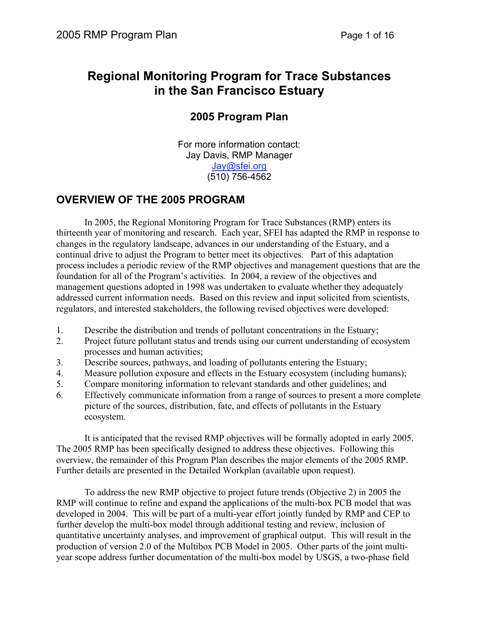# **Regional Monitoring Program for Trace Substances in the San Francisco Estuary**

# **2005 Program Plan**

For more information contact: Jay Davis, RMP Manager Jay@sfei.org (510) 756-4562

# **OVERVIEW OF THE 2005 PROGRAM**

In 2005, the Regional Monitoring Program for Trace Substances (RMP) enters its thirteenth year of monitoring and research. Each year, SFEI has adapted the RMP in response to changes in the regulatory landscape, advances in our understanding of the Estuary, and a continual drive to adjust the Program to better meet its objectives. Part of this adaptation process includes a periodic review of the RMP objectives and management questions that are the foundation for all of the Program's activities. In 2004, a review of the objectives and management questions adopted in 1998 was undertaken to evaluate whether they adequately addressed current information needs. Based on this review and input solicited from scientists, regulators, and interested stakeholders, the following revised objectives were developed:

- 1. Describe the distribution and trends of pollutant concentrations in the Estuary;
- 2. Project future pollutant status and trends using our current understanding of ecosystem processes and human activities;
- 3. Describe sources, pathways, and loading of pollutants entering the Estuary;
- 4. Measure pollution exposure and effects in the Estuary ecosystem (including humans);
- 5. Compare monitoring information to relevant standards and other guidelines; and
- 6. Effectively communicate information from a range of sources to present a more complete picture of the sources, distribution, fate, and effects of pollutants in the Estuary ecosystem.

It is anticipated that the revised RMP objectives will be formally adopted in early 2005. The 2005 RMP has been specifically designed to address these objectives. Following this overview, the remainder of this Program Plan describes the major elements of the 2005 RMP. Further details are presented in the Detailed Workplan (available upon request).

To address the new RMP objective to project future trends (Objective 2) in 2005 the RMP will continue to refine and expand the applications of the multi-box PCB model that was developed in 2004. This will be part of a multi-year effort jointly funded by RMP and CEP to further develop the multi-box model through additional testing and review, inclusion of quantitative uncertainty analyses, and improvement of graphical output. This will result in the production of version 2.0 of the Multibox PCB Model in 2005. Other parts of the joint multiyear scope address further documentation of the multi-box model by USGS, a two-phase field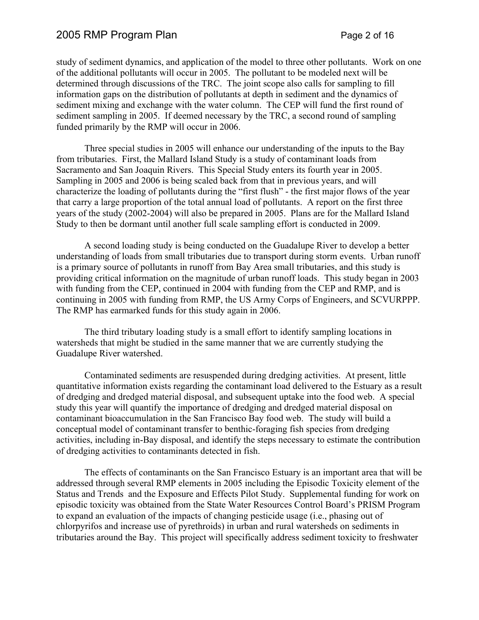## 2005 RMP Program Plan **Page 2 of 16** Page 2 of 16

study of sediment dynamics, and application of the model to three other pollutants. Work on one of the additional pollutants will occur in 2005. The pollutant to be modeled next will be determined through discussions of the TRC. The joint scope also calls for sampling to fill information gaps on the distribution of pollutants at depth in sediment and the dynamics of sediment mixing and exchange with the water column. The CEP will fund the first round of sediment sampling in 2005. If deemed necessary by the TRC, a second round of sampling funded primarily by the RMP will occur in 2006.

Three special studies in 2005 will enhance our understanding of the inputs to the Bay from tributaries. First, the Mallard Island Study is a study of contaminant loads from Sacramento and San Joaquin Rivers. This Special Study enters its fourth year in 2005. Sampling in 2005 and 2006 is being scaled back from that in previous years, and will characterize the loading of pollutants during the "first flush" - the first major flows of the year that carry a large proportion of the total annual load of pollutants. A report on the first three years of the study (2002-2004) will also be prepared in 2005. Plans are for the Mallard Island Study to then be dormant until another full scale sampling effort is conducted in 2009.

A second loading study is being conducted on the Guadalupe River to develop a better understanding of loads from small tributaries due to transport during storm events. Urban runoff is a primary source of pollutants in runoff from Bay Area small tributaries, and this study is providing critical information on the magnitude of urban runoff loads. This study began in 2003 with funding from the CEP, continued in 2004 with funding from the CEP and RMP, and is continuing in 2005 with funding from RMP, the US Army Corps of Engineers, and SCVURPPP. The RMP has earmarked funds for this study again in 2006.

The third tributary loading study is a small effort to identify sampling locations in watersheds that might be studied in the same manner that we are currently studying the Guadalupe River watershed.

Contaminated sediments are resuspended during dredging activities. At present, little quantitative information exists regarding the contaminant load delivered to the Estuary as a result of dredging and dredged material disposal, and subsequent uptake into the food web. A special study this year will quantify the importance of dredging and dredged material disposal on contaminant bioaccumulation in the San Francisco Bay food web. The study will build a conceptual model of contaminant transfer to benthic-foraging fish species from dredging activities, including in-Bay disposal, and identify the steps necessary to estimate the contribution of dredging activities to contaminants detected in fish.

The effects of contaminants on the San Francisco Estuary is an important area that will be addressed through several RMP elements in 2005 including the Episodic Toxicity element of the Status and Trends and the Exposure and Effects Pilot Study. Supplemental funding for work on episodic toxicity was obtained from the State Water Resources Control Board's PRISM Program to expand an evaluation of the impacts of changing pesticide usage (i.e., phasing out of chlorpyrifos and increase use of pyrethroids) in urban and rural watersheds on sediments in tributaries around the Bay. This project will specifically address sediment toxicity to freshwater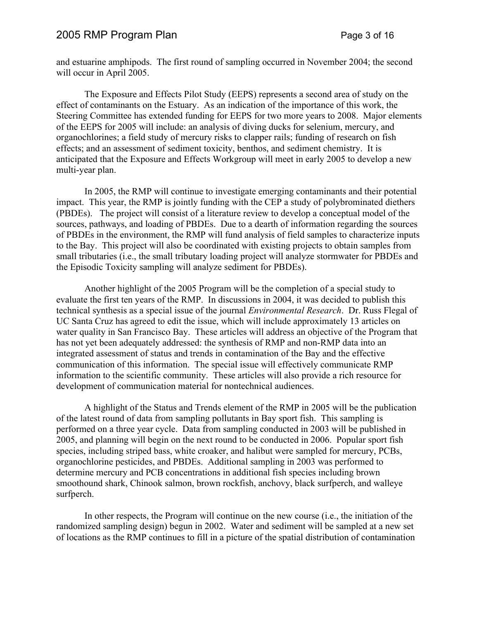### 2005 RMP Program Plan **Page 3 of 16** Page 3 of 16

and estuarine amphipods. The first round of sampling occurred in November 2004; the second will occur in April 2005.

The Exposure and Effects Pilot Study (EEPS) represents a second area of study on the effect of contaminants on the Estuary. As an indication of the importance of this work, the Steering Committee has extended funding for EEPS for two more years to 2008. Major elements of the EEPS for 2005 will include: an analysis of diving ducks for selenium, mercury, and organochlorines; a field study of mercury risks to clapper rails; funding of research on fish effects; and an assessment of sediment toxicity, benthos, and sediment chemistry. It is anticipated that the Exposure and Effects Workgroup will meet in early 2005 to develop a new multi-year plan.

In 2005, the RMP will continue to investigate emerging contaminants and their potential impact. This year, the RMP is jointly funding with the CEP a study of polybrominated diethers (PBDEs). The project will consist of a literature review to develop a conceptual model of the sources, pathways, and loading of PBDEs. Due to a dearth of information regarding the sources of PBDEs in the environment, the RMP will fund analysis of field samples to characterize inputs to the Bay. This project will also be coordinated with existing projects to obtain samples from small tributaries (i.e., the small tributary loading project will analyze stormwater for PBDEs and the Episodic Toxicity sampling will analyze sediment for PBDEs).

Another highlight of the 2005 Program will be the completion of a special study to evaluate the first ten years of the RMP. In discussions in 2004, it was decided to publish this technical synthesis as a special issue of the journal *Environmental Research*. Dr. Russ Flegal of UC Santa Cruz has agreed to edit the issue, which will include approximately 13 articles on water quality in San Francisco Bay. These articles will address an objective of the Program that has not yet been adequately addressed: the synthesis of RMP and non-RMP data into an integrated assessment of status and trends in contamination of the Bay and the effective communication of this information. The special issue will effectively communicate RMP information to the scientific community. These articles will also provide a rich resource for development of communication material for nontechnical audiences.

A highlight of the Status and Trends element of the RMP in 2005 will be the publication of the latest round of data from sampling pollutants in Bay sport fish. This sampling is performed on a three year cycle. Data from sampling conducted in 2003 will be published in 2005, and planning will begin on the next round to be conducted in 2006. Popular sport fish species, including striped bass, white croaker, and halibut were sampled for mercury, PCBs, organochlorine pesticides, and PBDEs. Additional sampling in 2003 was performed to determine mercury and PCB concentrations in additional fish species including brown smoothound shark, Chinook salmon, brown rockfish, anchovy, black surfperch, and walleye surfperch.

In other respects, the Program will continue on the new course (i.e., the initiation of the randomized sampling design) begun in 2002. Water and sediment will be sampled at a new set of locations as the RMP continues to fill in a picture of the spatial distribution of contamination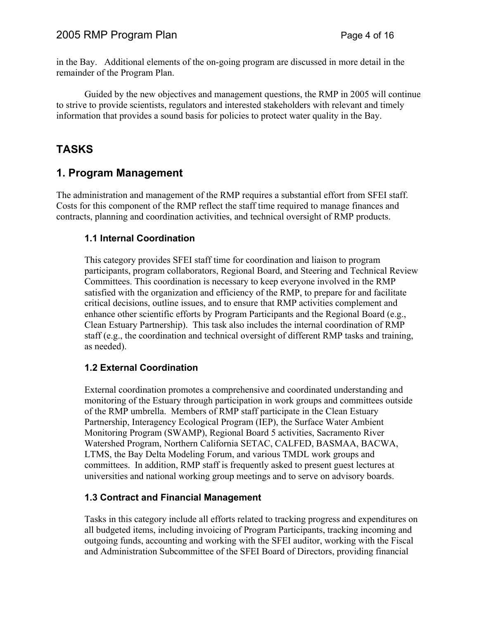# 2005 RMP Program Plan **Page 4 of 16**

in the Bay. Additional elements of the on-going program are discussed in more detail in the remainder of the Program Plan.

Guided by the new objectives and management questions, the RMP in 2005 will continue to strive to provide scientists, regulators and interested stakeholders with relevant and timely information that provides a sound basis for policies to protect water quality in the Bay.

# **TASKS**

# **1. Program Management**

The administration and management of the RMP requires a substantial effort from SFEI staff. Costs for this component of the RMP reflect the staff time required to manage finances and contracts, planning and coordination activities, and technical oversight of RMP products.

## **1.1 Internal Coordination**

This category provides SFEI staff time for coordination and liaison to program participants, program collaborators, Regional Board, and Steering and Technical Review Committees. This coordination is necessary to keep everyone involved in the RMP satisfied with the organization and efficiency of the RMP, to prepare for and facilitate critical decisions, outline issues, and to ensure that RMP activities complement and enhance other scientific efforts by Program Participants and the Regional Board (e.g., Clean Estuary Partnership). This task also includes the internal coordination of RMP staff (e.g., the coordination and technical oversight of different RMP tasks and training, as needed).

## **1.2 External Coordination**

External coordination promotes a comprehensive and coordinated understanding and monitoring of the Estuary through participation in work groups and committees outside of the RMP umbrella. Members of RMP staff participate in the Clean Estuary Partnership, Interagency Ecological Program (IEP), the Surface Water Ambient Monitoring Program (SWAMP), Regional Board 5 activities, Sacramento River Watershed Program, Northern California SETAC, CALFED, BASMAA, BACWA, LTMS, the Bay Delta Modeling Forum, and various TMDL work groups and committees. In addition, RMP staff is frequently asked to present guest lectures at universities and national working group meetings and to serve on advisory boards.

### **1.3 Contract and Financial Management**

Tasks in this category include all efforts related to tracking progress and expenditures on all budgeted items, including invoicing of Program Participants, tracking incoming and outgoing funds, accounting and working with the SFEI auditor, working with the Fiscal and Administration Subcommittee of the SFEI Board of Directors, providing financial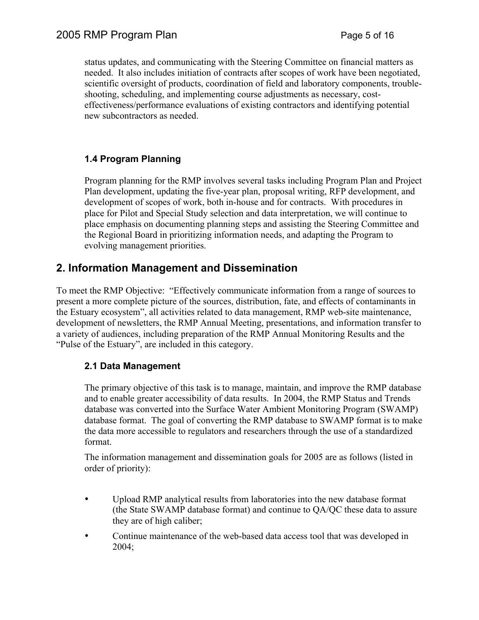status updates, and communicating with the Steering Committee on financial matters as needed. It also includes initiation of contracts after scopes of work have been negotiated, scientific oversight of products, coordination of field and laboratory components, troubleshooting, scheduling, and implementing course adjustments as necessary, costeffectiveness/performance evaluations of existing contractors and identifying potential new subcontractors as needed.

# **1.4 Program Planning**

Program planning for the RMP involves several tasks including Program Plan and Project Plan development, updating the five-year plan, proposal writing, RFP development, and development of scopes of work, both in-house and for contracts. With procedures in place for Pilot and Special Study selection and data interpretation, we will continue to place emphasis on documenting planning steps and assisting the Steering Committee and the Regional Board in prioritizing information needs, and adapting the Program to evolving management priorities.

# **2. Information Management and Dissemination**

To meet the RMP Objective: "Effectively communicate information from a range of sources to present a more complete picture of the sources, distribution, fate, and effects of contaminants in the Estuary ecosystem", all activities related to data management, RMP web-site maintenance, development of newsletters, the RMP Annual Meeting, presentations, and information transfer to a variety of audiences, including preparation of the RMP Annual Monitoring Results and the "Pulse of the Estuary", are included in this category.

## **2.1 Data Management**

The primary objective of this task is to manage, maintain, and improve the RMP database and to enable greater accessibility of data results. In 2004, the RMP Status and Trends database was converted into the Surface Water Ambient Monitoring Program (SWAMP) database format. The goal of converting the RMP database to SWAMP format is to make the data more accessible to regulators and researchers through the use of a standardized format.

The information management and dissemination goals for 2005 are as follows (listed in order of priority):

- Upload RMP analytical results from laboratories into the new database format (the State SWAMP database format) and continue to QA/QC these data to assure they are of high caliber;
- Continue maintenance of the web-based data access tool that was developed in 2004;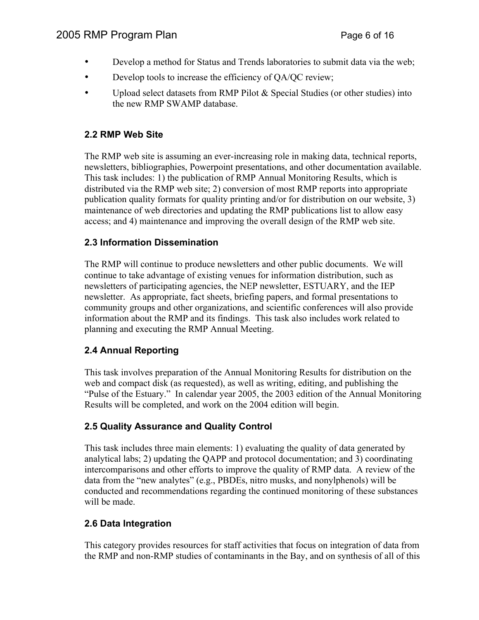# 2005 RMP Program Plan **Page 6 of 16** Page 6 of 16

- Develop a method for Status and Trends laboratories to submit data via the web;
- Develop tools to increase the efficiency of QA/QC review;
- Upload select datasets from RMP Pilot & Special Studies (or other studies) into the new RMP SWAMP database.

# **2.2 RMP Web Site**

The RMP web site is assuming an ever-increasing role in making data, technical reports, newsletters, bibliographies, Powerpoint presentations, and other documentation available. This task includes: 1) the publication of RMP Annual Monitoring Results, which is distributed via the RMP web site; 2) conversion of most RMP reports into appropriate publication quality formats for quality printing and/or for distribution on our website, 3) maintenance of web directories and updating the RMP publications list to allow easy access; and 4) maintenance and improving the overall design of the RMP web site.

# **2.3 Information Dissemination**

The RMP will continue to produce newsletters and other public documents. We will continue to take advantage of existing venues for information distribution, such as newsletters of participating agencies, the NEP newsletter, ESTUARY, and the IEP newsletter. As appropriate, fact sheets, briefing papers, and formal presentations to community groups and other organizations, and scientific conferences will also provide information about the RMP and its findings. This task also includes work related to planning and executing the RMP Annual Meeting.

# **2.4 Annual Reporting**

This task involves preparation of the Annual Monitoring Results for distribution on the web and compact disk (as requested), as well as writing, editing, and publishing the "Pulse of the Estuary." In calendar year 2005, the 2003 edition of the Annual Monitoring Results will be completed, and work on the 2004 edition will begin.

# **2.5 Quality Assurance and Quality Control**

This task includes three main elements: 1) evaluating the quality of data generated by analytical labs; 2) updating the QAPP and protocol documentation; and 3) coordinating intercomparisons and other efforts to improve the quality of RMP data. A review of the data from the "new analytes" (e.g., PBDEs, nitro musks, and nonylphenols) will be conducted and recommendations regarding the continued monitoring of these substances will be made.

# **2.6 Data Integration**

This category provides resources for staff activities that focus on integration of data from the RMP and non-RMP studies of contaminants in the Bay, and on synthesis of all of this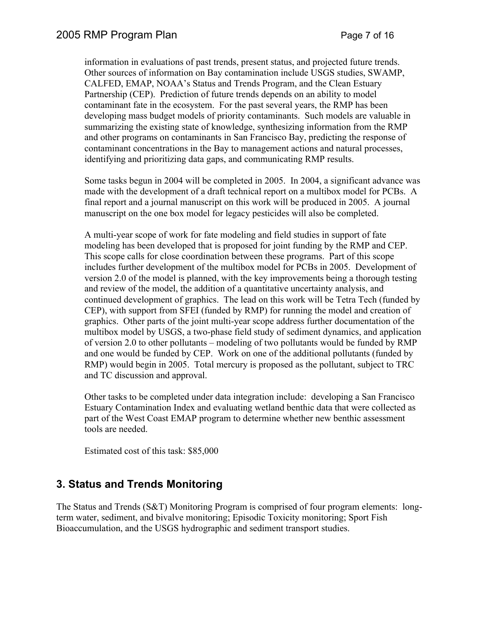information in evaluations of past trends, present status, and projected future trends. Other sources of information on Bay contamination include USGS studies, SWAMP, CALFED, EMAP, NOAA's Status and Trends Program, and the Clean Estuary Partnership (CEP). Prediction of future trends depends on an ability to model contaminant fate in the ecosystem. For the past several years, the RMP has been developing mass budget models of priority contaminants. Such models are valuable in summarizing the existing state of knowledge, synthesizing information from the RMP and other programs on contaminants in San Francisco Bay, predicting the response of contaminant concentrations in the Bay to management actions and natural processes, identifying and prioritizing data gaps, and communicating RMP results.

Some tasks begun in 2004 will be completed in 2005. In 2004, a significant advance was made with the development of a draft technical report on a multibox model for PCBs. A final report and a journal manuscript on this work will be produced in 2005. A journal manuscript on the one box model for legacy pesticides will also be completed.

A multi-year scope of work for fate modeling and field studies in support of fate modeling has been developed that is proposed for joint funding by the RMP and CEP. This scope calls for close coordination between these programs. Part of this scope includes further development of the multibox model for PCBs in 2005. Development of version 2.0 of the model is planned, with the key improvements being a thorough testing and review of the model, the addition of a quantitative uncertainty analysis, and continued development of graphics. The lead on this work will be Tetra Tech (funded by CEP), with support from SFEI (funded by RMP) for running the model and creation of graphics. Other parts of the joint multi-year scope address further documentation of the multibox model by USGS, a two-phase field study of sediment dynamics, and application of version 2.0 to other pollutants – modeling of two pollutants would be funded by RMP and one would be funded by CEP. Work on one of the additional pollutants (funded by RMP) would begin in 2005. Total mercury is proposed as the pollutant, subject to TRC and TC discussion and approval.

Other tasks to be completed under data integration include: developing a San Francisco Estuary Contamination Index and evaluating wetland benthic data that were collected as part of the West Coast EMAP program to determine whether new benthic assessment tools are needed.

Estimated cost of this task: \$85,000

# **3. Status and Trends Monitoring**

The Status and Trends (S&T) Monitoring Program is comprised of four program elements: longterm water, sediment, and bivalve monitoring; Episodic Toxicity monitoring; Sport Fish Bioaccumulation, and the USGS hydrographic and sediment transport studies.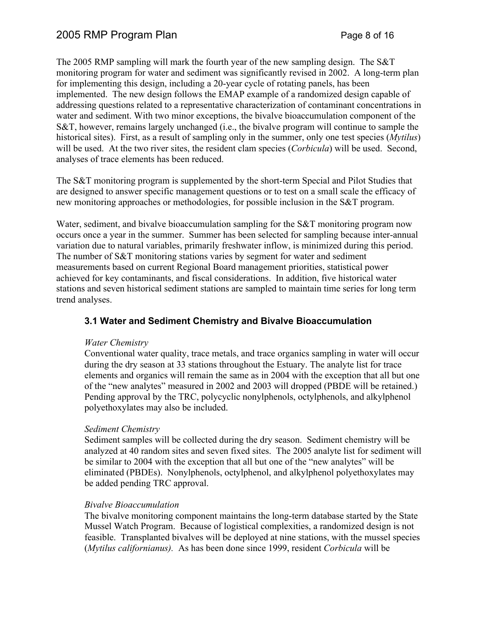The 2005 RMP sampling will mark the fourth year of the new sampling design. The S&T monitoring program for water and sediment was significantly revised in 2002. A long-term plan for implementing this design, including a 20-year cycle of rotating panels, has been implemented. The new design follows the EMAP example of a randomized design capable of addressing questions related to a representative characterization of contaminant concentrations in water and sediment. With two minor exceptions, the bivalve bioaccumulation component of the S&T, however, remains largely unchanged (i.e., the bivalve program will continue to sample the historical sites). First, as a result of sampling only in the summer, only one test species (*Mytilus*) will be used. At the two river sites, the resident clam species (*Corbicula*) will be used. Second, analyses of trace elements has been reduced.

The S&T monitoring program is supplemented by the short-term Special and Pilot Studies that are designed to answer specific management questions or to test on a small scale the efficacy of new monitoring approaches or methodologies, for possible inclusion in the S&T program.

Water, sediment, and bivalve bioaccumulation sampling for the S&T monitoring program now occurs once a year in the summer. Summer has been selected for sampling because inter-annual variation due to natural variables, primarily freshwater inflow, is minimized during this period. The number of S&T monitoring stations varies by segment for water and sediment measurements based on current Regional Board management priorities, statistical power achieved for key contaminants, and fiscal considerations. In addition, five historical water stations and seven historical sediment stations are sampled to maintain time series for long term trend analyses.

## **3.1 Water and Sediment Chemistry and Bivalve Bioaccumulation**

#### *Water Chemistry*

Conventional water quality, trace metals, and trace organics sampling in water will occur during the dry season at 33 stations throughout the Estuary. The analyte list for trace elements and organics will remain the same as in 2004 with the exception that all but one of the "new analytes" measured in 2002 and 2003 will dropped (PBDE will be retained.) Pending approval by the TRC, polycyclic nonylphenols, octylphenols, and alkylphenol polyethoxylates may also be included.

#### *Sediment Chemistry*

Sediment samples will be collected during the dry season. Sediment chemistry will be analyzed at 40 random sites and seven fixed sites. The 2005 analyte list for sediment will be similar to 2004 with the exception that all but one of the "new analytes" will be eliminated (PBDEs). Nonylphenols, octylphenol, and alkylphenol polyethoxylates may be added pending TRC approval.

#### *Bivalve Bioaccumulation*

The bivalve monitoring component maintains the long-term database started by the State Mussel Watch Program. Because of logistical complexities, a randomized design is not feasible. Transplanted bivalves will be deployed at nine stations, with the mussel species (*Mytilus californianus).* As has been done since 1999, resident *Corbicula* will be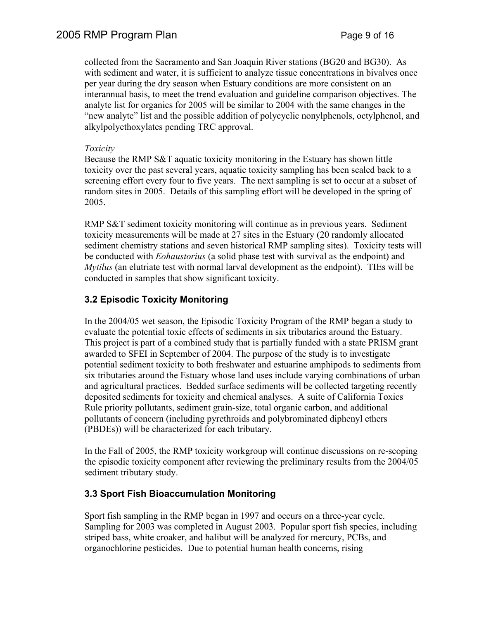collected from the Sacramento and San Joaquin River stations (BG20 and BG30). As with sediment and water, it is sufficient to analyze tissue concentrations in bivalves once per year during the dry season when Estuary conditions are more consistent on an interannual basis, to meet the trend evaluation and guideline comparison objectives. The analyte list for organics for 2005 will be similar to 2004 with the same changes in the "new analyte" list and the possible addition of polycyclic nonylphenols, octylphenol, and alkylpolyethoxylates pending TRC approval.

### *Toxicity*

Because the RMP S&T aquatic toxicity monitoring in the Estuary has shown little toxicity over the past several years, aquatic toxicity sampling has been scaled back to a screening effort every four to five years. The next sampling is set to occur at a subset of random sites in 2005. Details of this sampling effort will be developed in the spring of 2005.

RMP S&T sediment toxicity monitoring will continue as in previous years. Sediment toxicity measurements will be made at 27 sites in the Estuary (20 randomly allocated sediment chemistry stations and seven historical RMP sampling sites). Toxicity tests will be conducted with *Eohaustorius* (a solid phase test with survival as the endpoint) and *Mytilus* (an elutriate test with normal larval development as the endpoint). TIEs will be conducted in samples that show significant toxicity.

# **3.2 Episodic Toxicity Monitoring**

In the 2004/05 wet season, the Episodic Toxicity Program of the RMP began a study to evaluate the potential toxic effects of sediments in six tributaries around the Estuary. This project is part of a combined study that is partially funded with a state PRISM grant awarded to SFEI in September of 2004. The purpose of the study is to investigate potential sediment toxicity to both freshwater and estuarine amphipods to sediments from six tributaries around the Estuary whose land uses include varying combinations of urban and agricultural practices. Bedded surface sediments will be collected targeting recently deposited sediments for toxicity and chemical analyses. A suite of California Toxics Rule priority pollutants, sediment grain-size, total organic carbon, and additional pollutants of concern (including pyrethroids and polybrominated diphenyl ethers (PBDEs)) will be characterized for each tributary.

In the Fall of 2005, the RMP toxicity workgroup will continue discussions on re-scoping the episodic toxicity component after reviewing the preliminary results from the 2004/05 sediment tributary study.

## **3.3 Sport Fish Bioaccumulation Monitoring**

Sport fish sampling in the RMP began in 1997 and occurs on a three-year cycle. Sampling for 2003 was completed in August 2003. Popular sport fish species, including striped bass, white croaker, and halibut will be analyzed for mercury, PCBs, and organochlorine pesticides. Due to potential human health concerns, rising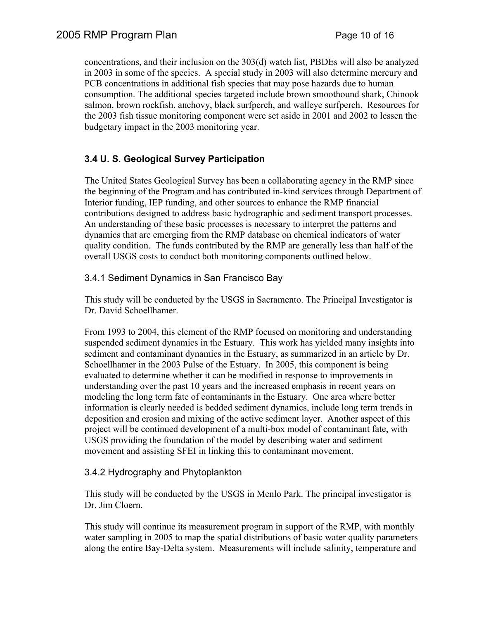concentrations, and their inclusion on the 303(d) watch list, PBDEs will also be analyzed in 2003 in some of the species. A special study in 2003 will also determine mercury and PCB concentrations in additional fish species that may pose hazards due to human consumption. The additional species targeted include brown smoothound shark, Chinook salmon, brown rockfish, anchovy, black surfperch, and walleye surfperch. Resources for the 2003 fish tissue monitoring component were set aside in 2001 and 2002 to lessen the budgetary impact in the 2003 monitoring year.

# **3.4 U. S. Geological Survey Participation**

The United States Geological Survey has been a collaborating agency in the RMP since the beginning of the Program and has contributed in-kind services through Department of Interior funding, IEP funding, and other sources to enhance the RMP financial contributions designed to address basic hydrographic and sediment transport processes. An understanding of these basic processes is necessary to interpret the patterns and dynamics that are emerging from the RMP database on chemical indicators of water quality condition. The funds contributed by the RMP are generally less than half of the overall USGS costs to conduct both monitoring components outlined below.

### 3.4.1 Sediment Dynamics in San Francisco Bay

This study will be conducted by the USGS in Sacramento. The Principal Investigator is Dr. David Schoellhamer.

From 1993 to 2004, this element of the RMP focused on monitoring and understanding suspended sediment dynamics in the Estuary. This work has yielded many insights into sediment and contaminant dynamics in the Estuary, as summarized in an article by Dr. Schoellhamer in the 2003 Pulse of the Estuary. In 2005, this component is being evaluated to determine whether it can be modified in response to improvements in understanding over the past 10 years and the increased emphasis in recent years on modeling the long term fate of contaminants in the Estuary. One area where better information is clearly needed is bedded sediment dynamics, include long term trends in deposition and erosion and mixing of the active sediment layer. Another aspect of this project will be continued development of a multi-box model of contaminant fate, with USGS providing the foundation of the model by describing water and sediment movement and assisting SFEI in linking this to contaminant movement.

### 3.4.2 Hydrography and Phytoplankton

This study will be conducted by the USGS in Menlo Park. The principal investigator is Dr. Jim Cloern.

This study will continue its measurement program in support of the RMP, with monthly water sampling in 2005 to map the spatial distributions of basic water quality parameters along the entire Bay-Delta system. Measurements will include salinity, temperature and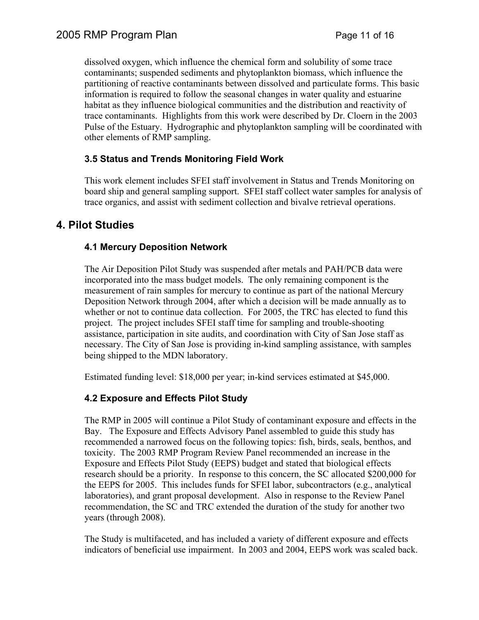dissolved oxygen, which influence the chemical form and solubility of some trace contaminants; suspended sediments and phytoplankton biomass, which influence the partitioning of reactive contaminants between dissolved and particulate forms. This basic information is required to follow the seasonal changes in water quality and estuarine habitat as they influence biological communities and the distribution and reactivity of trace contaminants. Highlights from this work were described by Dr. Cloern in the 2003 Pulse of the Estuary. Hydrographic and phytoplankton sampling will be coordinated with other elements of RMP sampling.

# **3.5 Status and Trends Monitoring Field Work**

This work element includes SFEI staff involvement in Status and Trends Monitoring on board ship and general sampling support. SFEI staff collect water samples for analysis of trace organics, and assist with sediment collection and bivalve retrieval operations.

# **4. Pilot Studies**

## **4.1 Mercury Deposition Network**

The Air Deposition Pilot Study was suspended after metals and PAH/PCB data were incorporated into the mass budget models. The only remaining component is the measurement of rain samples for mercury to continue as part of the national Mercury Deposition Network through 2004, after which a decision will be made annually as to whether or not to continue data collection. For 2005, the TRC has elected to fund this project. The project includes SFEI staff time for sampling and trouble-shooting assistance, participation in site audits, and coordination with City of San Jose staff as necessary. The City of San Jose is providing in-kind sampling assistance, with samples being shipped to the MDN laboratory.

Estimated funding level: \$18,000 per year; in-kind services estimated at \$45,000.

## **4.2 Exposure and Effects Pilot Study**

The RMP in 2005 will continue a Pilot Study of contaminant exposure and effects in the Bay. The Exposure and Effects Advisory Panel assembled to guide this study has recommended a narrowed focus on the following topics: fish, birds, seals, benthos, and toxicity. The 2003 RMP Program Review Panel recommended an increase in the Exposure and Effects Pilot Study (EEPS) budget and stated that biological effects research should be a priority. In response to this concern, the SC allocated \$200,000 for the EEPS for 2005. This includes funds for SFEI labor, subcontractors (e.g., analytical laboratories), and grant proposal development. Also in response to the Review Panel recommendation, the SC and TRC extended the duration of the study for another two years (through 2008).

The Study is multifaceted, and has included a variety of different exposure and effects indicators of beneficial use impairment. In 2003 and 2004, EEPS work was scaled back.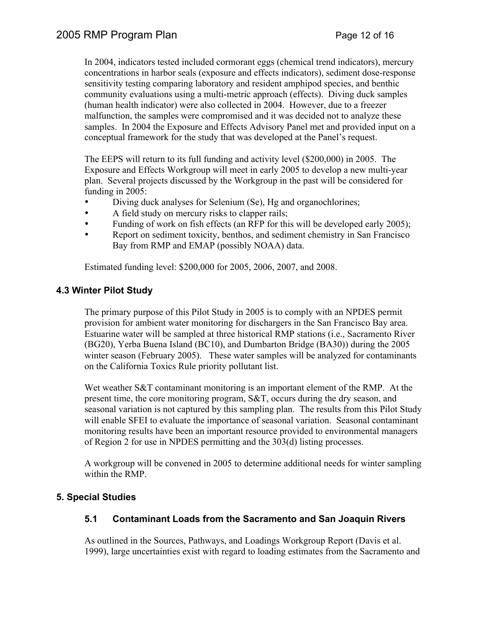In 2004, indicators tested included cormorant eggs (chemical trend indicators), mercury concentrations in harbor seals (exposure and effects indicators), sediment dose-response sensitivity testing comparing laboratory and resident amphipod species, and benthic community evaluations using a multi-metric approach (effects). Diving duck samples (human health indicator) were also collected in 2004. However, due to a freezer malfunction, the samples were compromised and it was decided not to analyze these samples. In 2004 the Exposure and Effects Advisory Panel met and provided input on a conceptual framework for the study that was developed at the Panel's request.

The EEPS will return to its full funding and activity level (\$200,000) in 2005. The Exposure and Effects Workgroup will meet in early 2005 to develop a new multi-year plan. Several projects discussed by the Workgroup in the past will be considered for funding in 2005:

- Diving duck analyses for Selenium (Se), Hg and organochlorines;<br>• A field study on mercury risks to clanner rails:
- A field study on mercury risks to clapper rails;<br>• Funding of work on fish effects (an RFP for thi
- Funding of work on fish effects (an RFP for this will be developed early 2005);
- Report on sediment toxicity, benthos, and sediment chemistry in San Francisco Bay from RMP and EMAP (possibly NOAA) data.

Estimated funding level: \$200,000 for 2005, 2006, 2007, and 2008.

### **4.3 Winter Pilot Study**

The primary purpose of this Pilot Study in 2005 is to comply with an NPDES permit provision for ambient water monitoring for dischargers in the San Francisco Bay area. Estuarine water will be sampled at three historical RMP stations (i.e., Sacramento River (BG20), Yerba Buena Island (BC10), and Dumbarton Bridge (BA30)) during the 2005 winter season (February 2005). These water samples will be analyzed for contaminants on the California Toxics Rule priority pollutant list.

Wet weather S&T contaminant monitoring is an important element of the RMP. At the present time, the core monitoring program, S&T, occurs during the dry season, and seasonal variation is not captured by this sampling plan. The results from this Pilot Study will enable SFEI to evaluate the importance of seasonal variation. Seasonal contaminant monitoring results have been an important resource provided to environmental managers of Region 2 for use in NPDES permitting and the 303(d) listing processes.

A workgroup will be convened in 2005 to determine additional needs for winter sampling within the RMP.

## **5. Special Studies**

## **5.1 Contaminant Loads from the Sacramento and San Joaquin Rivers**

As outlined in the Sources, Pathways, and Loadings Workgroup Report (Davis et al. 1999), large uncertainties exist with regard to loading estimates from the Sacramento and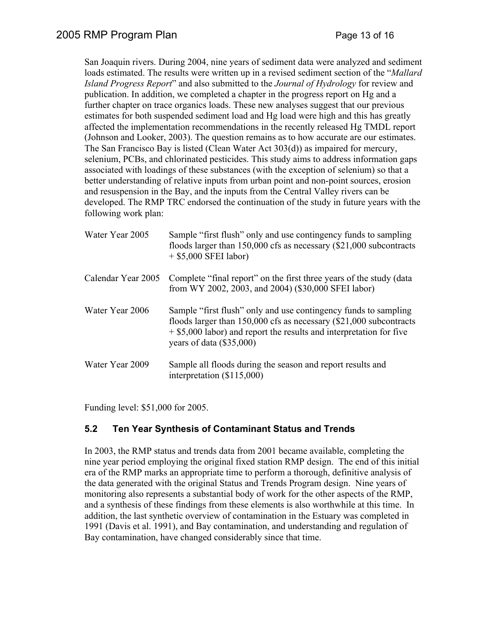San Joaquin rivers. During 2004, nine years of sediment data were analyzed and sediment loads estimated. The results were written up in a revised sediment section of the "*Mallard Island Progress Report*" and also submitted to the *Journal of Hydrology* for review and publication. In addition, we completed a chapter in the progress report on Hg and a further chapter on trace organics loads. These new analyses suggest that our previous estimates for both suspended sediment load and Hg load were high and this has greatly affected the implementation recommendations in the recently released Hg TMDL report (Johnson and Looker, 2003). The question remains as to how accurate are our estimates. The San Francisco Bay is listed (Clean Water Act 303(d)) as impaired for mercury, selenium, PCBs, and chlorinated pesticides. This study aims to address information gaps associated with loadings of these substances (with the exception of selenium) so that a better understanding of relative inputs from urban point and non-point sources, erosion and resuspension in the Bay, and the inputs from the Central Valley rivers can be developed. The RMP TRC endorsed the continuation of the study in future years with the following work plan:

| Water Year 2005    | Sample "first flush" only and use contingency funds to sampling<br>floods larger than $150,000$ cfs as necessary $(\$21,000$ subcontracts<br>$+$ \$5,000 SFEI labor)                                                                             |
|--------------------|--------------------------------------------------------------------------------------------------------------------------------------------------------------------------------------------------------------------------------------------------|
| Calendar Year 2005 | Complete "final report" on the first three years of the study (data<br>from WY 2002, 2003, and 2004) (\$30,000 SFEI labor)                                                                                                                       |
| Water Year 2006    | Sample "first flush" only and use contingency funds to sampling<br>floods larger than $150,000$ cfs as necessary $(\$21,000$ subcontracts<br>$+$ \$5,000 labor) and report the results and interpretation for five<br>years of data $(\$35,000)$ |
| Water Year 2009    | Sample all floods during the season and report results and<br>interpretation $(\$115,000)$                                                                                                                                                       |

Funding level: \$51,000 for 2005.

## **5.2 Ten Year Synthesis of Contaminant Status and Trends**

In 2003, the RMP status and trends data from 2001 became available, completing the nine year period employing the original fixed station RMP design. The end of this initial era of the RMP marks an appropriate time to perform a thorough, definitive analysis of the data generated with the original Status and Trends Program design. Nine years of monitoring also represents a substantial body of work for the other aspects of the RMP, and a synthesis of these findings from these elements is also worthwhile at this time. In addition, the last synthetic overview of contamination in the Estuary was completed in 1991 (Davis et al. 1991), and Bay contamination, and understanding and regulation of Bay contamination, have changed considerably since that time.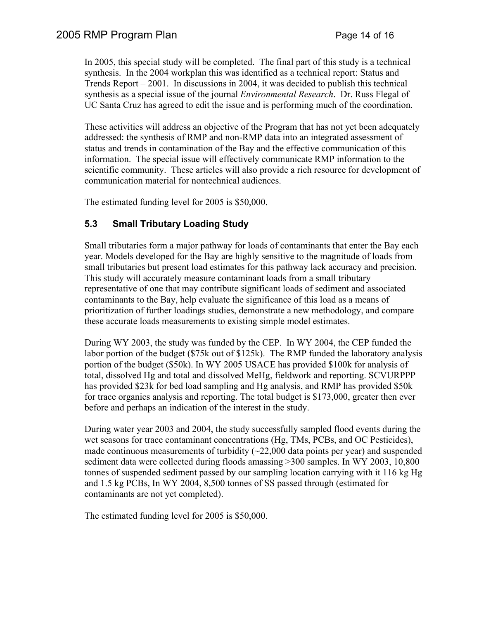In 2005, this special study will be completed. The final part of this study is a technical synthesis. In the 2004 workplan this was identified as a technical report: Status and Trends Report – 2001. In discussions in 2004, it was decided to publish this technical synthesis as a special issue of the journal *Environmental Research*. Dr. Russ Flegal of UC Santa Cruz has agreed to edit the issue and is performing much of the coordination.

These activities will address an objective of the Program that has not yet been adequately addressed: the synthesis of RMP and non-RMP data into an integrated assessment of status and trends in contamination of the Bay and the effective communication of this information. The special issue will effectively communicate RMP information to the scientific community. These articles will also provide a rich resource for development of communication material for nontechnical audiences.

The estimated funding level for 2005 is \$50,000.

# **5.3 Small Tributary Loading Study**

Small tributaries form a major pathway for loads of contaminants that enter the Bay each year. Models developed for the Bay are highly sensitive to the magnitude of loads from small tributaries but present load estimates for this pathway lack accuracy and precision. This study will accurately measure contaminant loads from a small tributary representative of one that may contribute significant loads of sediment and associated contaminants to the Bay, help evaluate the significance of this load as a means of prioritization of further loadings studies, demonstrate a new methodology, and compare these accurate loads measurements to existing simple model estimates.

During WY 2003, the study was funded by the CEP. In WY 2004, the CEP funded the labor portion of the budget (\$75k out of \$125k). The RMP funded the laboratory analysis portion of the budget (\$50k). In WY 2005 USACE has provided \$100k for analysis of total, dissolved Hg and total and dissolved MeHg, fieldwork and reporting. SCVURPPP has provided \$23k for bed load sampling and Hg analysis, and RMP has provided \$50k for trace organics analysis and reporting. The total budget is \$173,000, greater then ever before and perhaps an indication of the interest in the study.

During water year 2003 and 2004, the study successfully sampled flood events during the wet seasons for trace contaminant concentrations (Hg, TMs, PCBs, and OC Pesticides), made continuous measurements of turbidity  $(\sim 22,000)$  data points per year) and suspended sediment data were collected during floods amassing >300 samples. In WY 2003, 10,800 tonnes of suspended sediment passed by our sampling location carrying with it 116 kg Hg and 1.5 kg PCBs, In WY 2004, 8,500 tonnes of SS passed through (estimated for contaminants are not yet completed).

The estimated funding level for 2005 is \$50,000.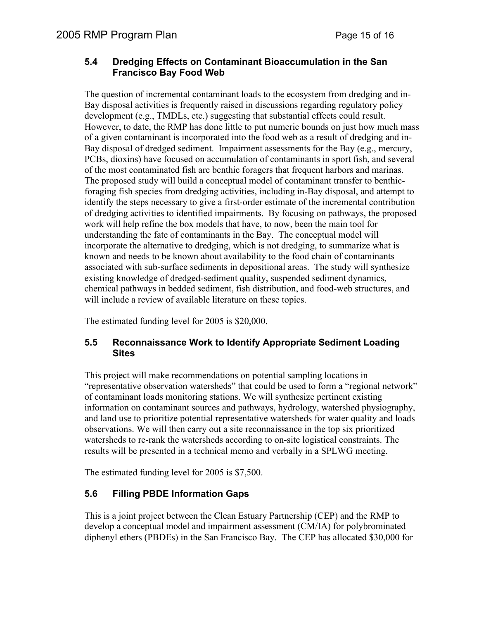### **5.4 Dredging Effects on Contaminant Bioaccumulation in the San Francisco Bay Food Web**

The question of incremental contaminant loads to the ecosystem from dredging and in-Bay disposal activities is frequently raised in discussions regarding regulatory policy development (e.g., TMDLs, etc.) suggesting that substantial effects could result. However, to date, the RMP has done little to put numeric bounds on just how much mass of a given contaminant is incorporated into the food web as a result of dredging and in-Bay disposal of dredged sediment. Impairment assessments for the Bay (e.g., mercury, PCBs, dioxins) have focused on accumulation of contaminants in sport fish, and several of the most contaminated fish are benthic foragers that frequent harbors and marinas. The proposed study will build a conceptual model of contaminant transfer to benthicforaging fish species from dredging activities, including in-Bay disposal, and attempt to identify the steps necessary to give a first-order estimate of the incremental contribution of dredging activities to identified impairments. By focusing on pathways, the proposed work will help refine the box models that have, to now, been the main tool for understanding the fate of contaminants in the Bay. The conceptual model will incorporate the alternative to dredging, which is not dredging, to summarize what is known and needs to be known about availability to the food chain of contaminants associated with sub-surface sediments in depositional areas. The study will synthesize existing knowledge of dredged-sediment quality, suspended sediment dynamics, chemical pathways in bedded sediment, fish distribution, and food-web structures, and will include a review of available literature on these topics.

The estimated funding level for 2005 is \$20,000.

### **5.5 Reconnaissance Work to Identify Appropriate Sediment Loading Sites**

This project will make recommendations on potential sampling locations in "representative observation watersheds" that could be used to form a "regional network" of contaminant loads monitoring stations. We will synthesize pertinent existing information on contaminant sources and pathways, hydrology, watershed physiography, and land use to prioritize potential representative watersheds for water quality and loads observations. We will then carry out a site reconnaissance in the top six prioritized watersheds to re-rank the watersheds according to on-site logistical constraints. The results will be presented in a technical memo and verbally in a SPLWG meeting.

The estimated funding level for 2005 is \$7,500.

## **5.6 Filling PBDE Information Gaps**

This is a joint project between the Clean Estuary Partnership (CEP) and the RMP to develop a conceptual model and impairment assessment (CM/IA) for polybrominated diphenyl ethers (PBDEs) in the San Francisco Bay. The CEP has allocated \$30,000 for